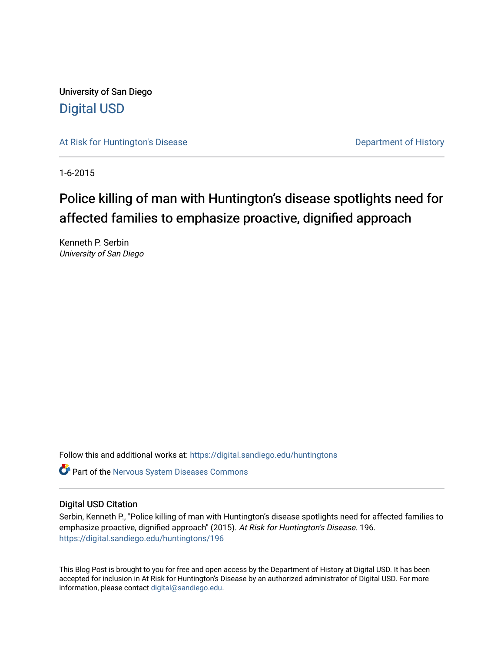University of San Diego [Digital USD](https://digital.sandiego.edu/)

[At Risk for Huntington's Disease](https://digital.sandiego.edu/huntingtons) **Department of History** Department of History

1-6-2015

# Police killing of man with Huntington's disease spotlights need for affected families to emphasize proactive, dignified approach

Kenneth P. Serbin University of San Diego

Follow this and additional works at: [https://digital.sandiego.edu/huntingtons](https://digital.sandiego.edu/huntingtons?utm_source=digital.sandiego.edu%2Fhuntingtons%2F196&utm_medium=PDF&utm_campaign=PDFCoverPages)

**C** Part of the [Nervous System Diseases Commons](http://network.bepress.com/hgg/discipline/928?utm_source=digital.sandiego.edu%2Fhuntingtons%2F196&utm_medium=PDF&utm_campaign=PDFCoverPages)

## Digital USD Citation

Serbin, Kenneth P., "Police killing of man with Huntington's disease spotlights need for affected families to emphasize proactive, dignified approach" (2015). At Risk for Huntington's Disease. 196. [https://digital.sandiego.edu/huntingtons/196](https://digital.sandiego.edu/huntingtons/196?utm_source=digital.sandiego.edu%2Fhuntingtons%2F196&utm_medium=PDF&utm_campaign=PDFCoverPages)

This Blog Post is brought to you for free and open access by the Department of History at Digital USD. It has been accepted for inclusion in At Risk for Huntington's Disease by an authorized administrator of Digital USD. For more information, please contact [digital@sandiego.edu.](mailto:digital@sandiego.edu)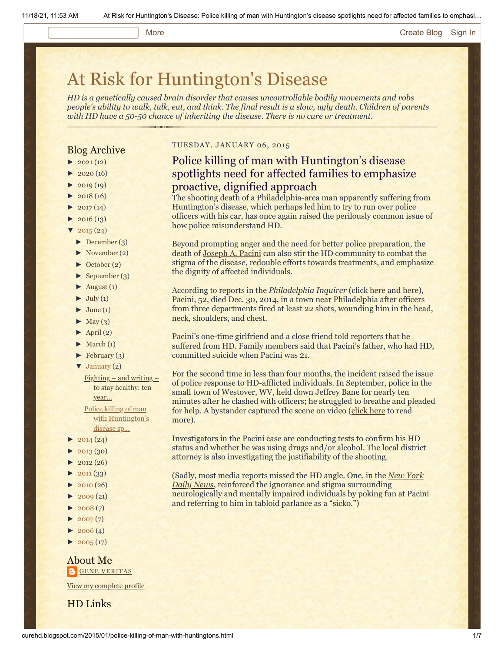#### More **[Create Blog](https://www.blogger.com/home#create) [Sign In](https://www.blogger.com/)**

# [At Risk for Huntington's Disease](http://curehd.blogspot.com/)

*HD is a genetically caused brain disorder that causes uncontrollable bodily movements and robs people's ability to walk, talk, eat, and think. The final result is a slow, ugly death. Children of parents with HD have a 50-50 chance of inheriting the disease. There is no cure or treatment.*

### Blog Archive

- $\blacktriangleright$  [2021](http://curehd.blogspot.com/2021/) (12)
- $2020(16)$  $2020(16)$
- $2019(19)$  $2019(19)$
- $\blacktriangleright$  [2018](http://curehd.blogspot.com/2018/) (16)
- $2017(14)$  $2017(14)$
- $2016(13)$  $2016(13)$
- $\sqrt{2015(24)}$  $\sqrt{2015(24)}$  $\sqrt{2015(24)}$
- [►](javascript:void(0)) [December](http://curehd.blogspot.com/2015/12/) (3)
- [►](javascript:void(0)) [November](http://curehd.blogspot.com/2015/11/) (2)
- [►](javascript:void(0)) [October](http://curehd.blogspot.com/2015/10/) (2)
- [►](javascript:void(0)) [September](http://curehd.blogspot.com/2015/09/) (3)
- $\blacktriangleright$  [August](http://curehd.blogspot.com/2015/08/) (1)
- $\blacktriangleright$  [July](http://curehd.blogspot.com/2015/07/) (1)
- $\blacktriangleright$  [June](http://curehd.blogspot.com/2015/06/) (1)
- $\blacktriangleright$  [May](http://curehd.blogspot.com/2015/05/) (3)
- $\blacktriangleright$  [April](http://curehd.blogspot.com/2015/04/) (2)
- $\blacktriangleright$  [March](http://curehd.blogspot.com/2015/03/) (1)
- $\blacktriangleright$  [February](http://curehd.blogspot.com/2015/02/) (3)
- [▼](javascript:void(0)) [January](http://curehd.blogspot.com/2015/01/) (2)
- $Fighting and writing -$  $Fighting and writing -$  $Fighting and writing -$ </u> to stay healthy: ten year...

Police killing of man with [Huntington's](http://curehd.blogspot.com/2015/01/police-killing-of-man-with-huntingtons.html) disease sp...

- $\blacktriangleright$  [2014](http://curehd.blogspot.com/2014/) (24)
- $-2013(30)$  $-2013(30)$  $-2013(30)$
- $2012(26)$  $2012(26)$
- $\blacktriangleright$  [2011](http://curehd.blogspot.com/2011/) (33)
- $\blacktriangleright$  [2010](http://curehd.blogspot.com/2010/) (26)
- $\blacktriangleright$  [2009](http://curehd.blogspot.com/2009/) (21)
- $\blacktriangleright$  [2008](http://curehd.blogspot.com/2008/) $(7)$
- $\blacktriangleright$  [2007](http://curehd.blogspot.com/2007/) $(7)$
- $\blacktriangleright$  [2006](http://curehd.blogspot.com/2006/) (4)
- $\blacktriangleright$  [2005](http://curehd.blogspot.com/2005/) (17)

#### About Me **GENE [VERITAS](https://www.blogger.com/profile/10911736205741688185)**

View my [complete](https://www.blogger.com/profile/10911736205741688185) profile

HD Links

#### TUESDAY, JANUARY 06, 2015

# Police killing of man with Huntington's disease spotlights need for affected families to emphasize proactive, dignified approach

The shooting death of a Philadelphia-area man apparently suffering from Huntington's disease, which perhaps led him to try to run over police officers with his car, has once again raised the perilously common issue of how police misunderstand HD.

Beyond prompting anger and the need for better police preparation, the death of [Joseph A. Pacini](https://www.facebook.com/japacini) can also stir the HD community to combat the stigma of the disease, redouble efforts towards treatments, and emphasize the dignity of affected individuals.

According to reports in the *Philadelphia Inquirer* (click [here](http://www.philly.com/philly/news/20150103_Results_to_come_on_Delco_man_s_Huntington_s_disease.html) and [here](http://www.philly.com/philly/news/local/20150101_Troubled_life_defines_Delco_man_killed_by_police.html)), Pacini, 52, died Dec. 30, 2014, in a town near Philadelphia after officers from three departments fired at least 22 shots, wounding him in the head, neck, shoulders, and chest.

Pacini's one-time girlfriend and a close friend told reporters that he suffered from HD. Family members said that Pacini's father, who had HD, committed suicide when Pacini was 21.

For the second time in less than four months, the incident raised the issue of police response to HD-afflicted individuals. In September, police in the small town of Westover, WV, held down Jeffrey Bane for nearly ten minutes after he clashed with officers; he struggled to breathe and pleaded for help. A bystander captured the scene on video ([click here](http://www.curehd.blogspot.com/2014/09/outrage-over-video-of-polices-rough.html) to read more).

Investigators in the Pacini case are conducting tests to confirm his HD status and whether he was using drugs and/or alcohol. The local district attorney is also investigating the justifiability of the shooting.

[\(Sadly, most media reports missed the HD angle. One, in the](http://www.nydailynews.com/news/national/man-killing-cops-professed-love-sara-bareilles-article-1.2061847) *New York Daily News*, reinforced the ignorance and stigma surrounding neurologically and mentally impaired individuals by poking fun at Pacini and referring to him in tabloid parlance as a "sicko.")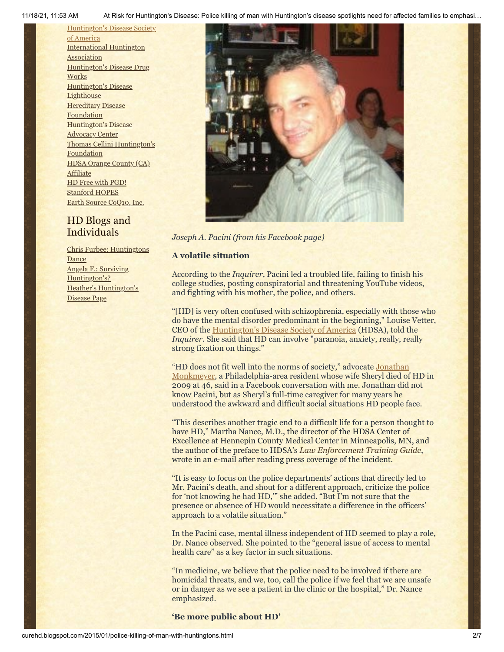11/18/21, 11:53 AM At Risk for Huntington's Disease: Police killing of man with Huntington's disease spotlights need for affected families to emphasi…

[Huntington's](http://www.hdsa.org/) Disease Society of America [International](http://www.huntington-assoc.com/) Huntington **Association** [Huntington's](http://hddrugworks.org/) Disease Drug **Works** [Huntington's](http://www.hdlighthouse.org/) Disease **Lighthouse [Hereditary](http://www.hdfoundation.org/) Disease** Foundation [Huntington's](http://www.hdac.org/) Disease Advocacy Center Thomas [Cellini Huntington's](http://www.ourtchfoundation.org/) **Foundation** HDSA Orange County (CA) **[Affiliate](http://www.hdsaoc.org/)** HD Free with [PGD!](http://www.hdfreewithpgd.com/) [Stanford](http://www.stanford.edu/group/hopes/) HOPES Earth Source [CoQ10,](http://www.escoq10.com/) Inc.

# HD Blogs and Individuals

Chris Furbee: [Huntingtons](http://www.huntingtonsdance.org/) **Dance** Angela F.: Surviving [Huntington's?](http://survivinghuntingtons.blogspot.com/) Heather's [Huntington's](http://heatherdugdale.angelfire.com/) Disease Page



*Joseph A. Pacini (from his Facebook page)*

#### **A volatile situation**

According to the *Inquirer*, Pacini led a troubled life, failing to finish his college studies, posting conspiratorial and threatening YouTube videos, and fighting with his mother, the police, and others.

"[HD] is very often confused with schizophrenia, especially with those who do have the mental disorder predominant in the beginning," Louise Vetter, CEO of the [Huntington's Disease Society of America](http://www.hdsa.org/) (HDSA), told the *Inquirer*. She said that HD can involve "paranoia, anxiety, really, really strong fixation on things."

["HD does not fit well into the norms of society," advocate](http://curehd.blogspot.com/2013/02/no-marine-deserted-on-battlefield-two.html) Jonathan Monkmeyer, a Philadelphia-area resident whose wife Sheryl died of HD in 2009 at 46, said in a Facebook conversation with me. Jonathan did not know Pacini, but as Sheryl's full-time caregiver for many years he understood the awkward and difficult social situations HD people face.

"This describes another tragic end to a difficult life for a person thought to have HD," Martha Nance, M.D., the director of the HDSA Center of Excellence at Hennepin County Medical Center in Minneapolis, MN, and the author of the preface to HDSA's *[Law Enforcement Training Guide](http://www.hdsa.org/living-with-huntingtons/publications/law-enforcement-kit.html)*, wrote in an e-mail after reading press coverage of the incident.

"It is easy to focus on the police departments' actions that directly led to Mr. Pacini's death, and shout for a different approach, criticize the police for 'not knowing he had HD,'" she added. "But I'm not sure that the presence or absence of HD would necessitate a difference in the officers' approach to a volatile situation."

In the Pacini case, mental illness independent of HD seemed to play a role, Dr. Nance observed. She pointed to the "general issue of access to mental health care" as a key factor in such situations.

"In medicine, we believe that the police need to be involved if there are homicidal threats, and we, too, call the police if we feel that we are unsafe or in danger as we see a patient in the clinic or the hospital," Dr. Nance emphasized.

**'Be more public about HD'**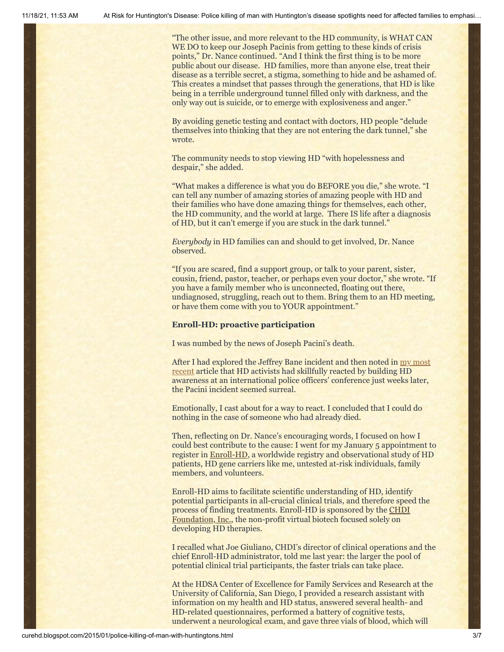"The other issue, and more relevant to the HD community, is WHAT CAN WE DO to keep our Joseph Pacinis from getting to these kinds of crisis points," Dr. Nance continued. "And I think the first thing is to be more public about our disease. HD families, more than anyone else, treat their disease as a terrible secret, a stigma, something to hide and be ashamed of. This creates a mindset that passes through the generations, that HD is like being in a terrible underground tunnel filled only with darkness, and the only way out is suicide, or to emerge with explosiveness and anger."

By avoiding genetic testing and contact with doctors, HD people "delude themselves into thinking that they are not entering the dark tunnel," she wrote.

The community needs to stop viewing HD "with hopelessness and despair," she added.

"What makes a difference is what you do BEFORE you die," she wrote. "I can tell any number of amazing stories of amazing people with HD and their families who have done amazing things for themselves, each other, the HD community, and the world at large. There IS life after a diagnosis of HD, but it can't emerge if you are stuck in the dark tunnel."

*Everybody* in HD families can and should to get involved, Dr. Nance observed.

"If you are scared, find a support group, or talk to your parent, sister, cousin, friend, pastor, teacher, or perhaps even your doctor," she wrote. "If you have a family member who is unconnected, floating out there, undiagnosed, struggling, reach out to them. Bring them to an HD meeting, or have them come with you to YOUR appointment."

#### **Enroll-HD: proactive participation**

I was numbed by the news of Joseph Pacini's death.

After I had explored the Jeffrey Bane incident and then noted in  $\frac{my \text{ most}}{my}$ [recent article that HD activists had skillfully reacted by building HD](http://curehd.blogspot.com/2014/12/six-cool-la-ladies-bare-truth-about.html) awareness at an international police officers' conference just weeks later, the Pacini incident seemed surreal.

Emotionally, I cast about for a way to react. I concluded that I could do nothing in the case of someone who had already died.

Then, reflecting on Dr. Nance's encouraging words, I focused on how I could best contribute to the cause: I went for my January 5 appointment to register in [Enroll-HD,](http://www.enroll-hd.org/html/about?enrollsid=9a50e6d82da667f2fbcf1702f66e31f0) a worldwide registry and observational study of HD patients, HD gene carriers like me, untested at-risk individuals, family members, and volunteers.

Enroll-HD aims to facilitate scientific understanding of HD, identify potential participants in all-crucial clinical trials, and therefore speed the [process of finding treatments. Enroll-HD is sponsored by the CHDI](http://chdifoundation.org/) Foundation, Inc., the non-profit virtual biotech focused solely on developing HD therapies.

I recalled what Joe Giuliano, CHDI's director of clinical operations and the chief Enroll-HD administrator, told me last year: the larger the pool of potential clinical trial participants, the faster trials can take place.

At the HDSA Center of Excellence for Family Services and Research at the University of California, San Diego, I provided a research assistant with information on my health and HD status, answered several health- and HD-related questionnaires, performed a battery of cognitive tests, underwent a neurological exam, and gave three vials of blood, which will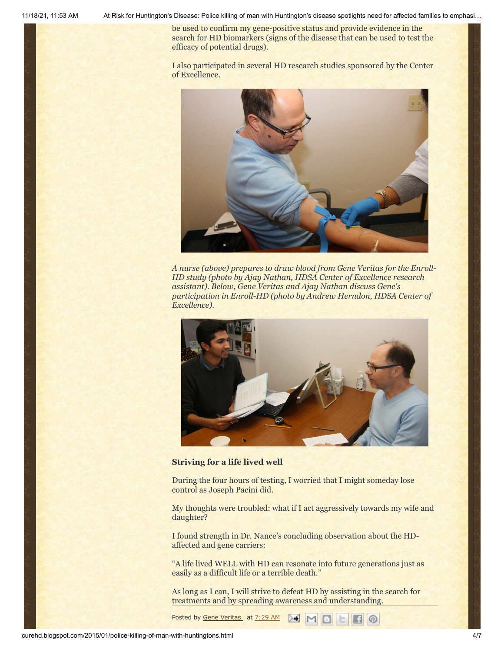11/18/21, 11:53 AM At Risk for Huntington's Disease: Police killing of man with Huntington's disease spotlights need for affected families to emphasi…

be used to confirm my gene-positive status and provide evidence in the search for HD biomarkers (signs of the disease that can be used to test the efficacy of potential drugs).

I also participated in several HD research studies sponsored by the Center of Excellence.



*A nurse (above) prepares to draw blood from Gene Veritas for the Enroll-HD study (photo by Ajay Nathan, HDSA Center of Excellence research assistant). Below, Gene Veritas and Ajay Nathan discuss Gene's participation in Enroll-HD (photo by Andrew Herndon, HDSA Center of Excellence).*



#### **Striving for a life lived well**

During the four hours of testing, I worried that I might someday lose control as Joseph Pacini did.

My thoughts were troubled: what if I act aggressively towards my wife and daughter?

I found strength in Dr. Nance's concluding observation about the HDaffected and gene carriers:

"A life lived WELL with HD can resonate into future generations just as easily as a difficult life or a terrible death."

As long as I can, I will strive to defeat HD by assisting in the search for treatments and by spreading awareness and understanding.

**EE**O

Posted by Gene [Veritas](https://www.blogger.com/profile/03599828959793084715) at [7:29](http://curehd.blogspot.com/2015/01/police-killing-of-man-with-huntingtons.html) AM MB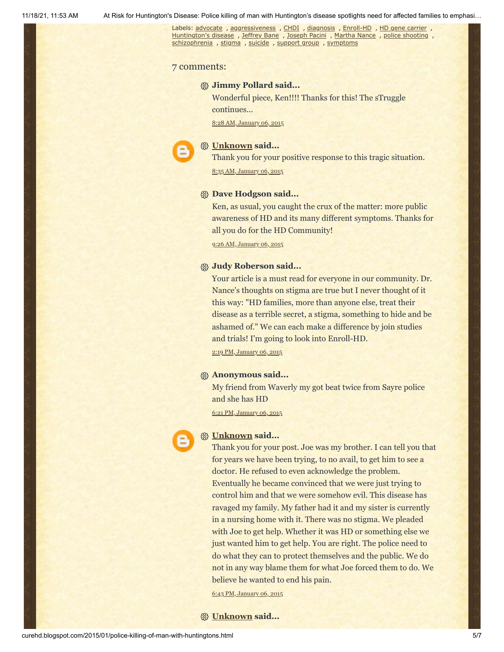Labels: [advocate](http://curehd.blogspot.com/search/label/advocate) , [aggressiveness](http://curehd.blogspot.com/search/label/aggressiveness) , [CHDI](http://curehd.blogspot.com/search/label/CHDI) , [diagnosis](http://curehd.blogspot.com/search/label/diagnosis) , [Enroll-HD](http://curehd.blogspot.com/search/label/Enroll-HD) , HD gene [carrier](http://curehd.blogspot.com/search/label/HD%20gene%20carrier) , [Huntington's](http://curehd.blogspot.com/search/label/Huntington%27s%20disease) disease, [Jeffrey](http://curehd.blogspot.com/search/label/Jeffrey%20Bane) Bane, [Joseph](http://curehd.blogspot.com/search/label/Joseph%20Pacini) Pacini, [Martha](http://curehd.blogspot.com/search/label/Martha%20Nance) Nance, police [shooting](http://curehd.blogspot.com/search/label/police%20shooting), [schizophrenia](http://curehd.blogspot.com/search/label/schizophrenia) , [stigma](http://curehd.blogspot.com/search/label/stigma) , [suicide](http://curehd.blogspot.com/search/label/suicide) , [support](http://curehd.blogspot.com/search/label/support%20group) group , [symptoms](http://curehd.blogspot.com/search/label/symptoms)

#### 7 comments:

#### **Jimmy Pollard said...**

Wonderful piece, Ken!!!! Thanks for this! The sTruggle continues...

8:28 AM, [January](http://curehd.blogspot.com/2015/01/police-killing-of-man-with-huntingtons.html?showComment=1420561690900#c8995184468483638262) 06, 2015

## **[Unknown](https://www.blogger.com/profile/01684599173093456207) said...**

Thank you for your positive response to this tragic situation.

8:35 AM, [January](http://curehd.blogspot.com/2015/01/police-killing-of-man-with-huntingtons.html?showComment=1420562152769#c2634702887066966819) 06, 2015

#### **Dave Hodgson said...**

Ken, as usual, you caught the crux of the matter: more public awareness of HD and its many different symptoms. Thanks for all you do for the HD Community!

9:26 AM, [January](http://curehd.blogspot.com/2015/01/police-killing-of-man-with-huntingtons.html?showComment=1420565186991#c8479401472687835594) 06, 2015

#### **Judy Roberson said...**

Your article is a must read for everyone in our community. Dr. Nance's thoughts on stigma are true but I never thought of it this way: "HD families, more than anyone else, treat their disease as a terrible secret, a stigma, something to hide and be ashamed of." We can each make a difference by join studies and trials! I'm going to look into Enroll-HD.

2:19 PM, [January](http://curehd.blogspot.com/2015/01/police-killing-of-man-with-huntingtons.html?showComment=1420582769186#c317171034165741992) 06, 2015

#### **Anonymous said...**

My friend from Waverly my got beat twice from Sayre police and she has HD

6:21 PM, [January](http://curehd.blogspot.com/2015/01/police-killing-of-man-with-huntingtons.html?showComment=1420597299444#c3988699740426651498) 06, 2015

#### **[Unknown](https://www.blogger.com/profile/14017544344246279547) said...**

Thank you for your post. Joe was my brother. I can tell you that for years we have been trying, to no avail, to get him to see a doctor. He refused to even acknowledge the problem. Eventually he became convinced that we were just trying to control him and that we were somehow evil. This disease has ravaged my family. My father had it and my sister is currently in a nursing home with it. There was no stigma. We pleaded with Joe to get help. Whether it was HD or something else we just wanted him to get help. You are right. The police need to do what they can to protect themselves and the public. We do not in any way blame them for what Joe forced them to do. We believe he wanted to end his pain.

6:43 PM, [January](http://curehd.blogspot.com/2015/01/police-killing-of-man-with-huntingtons.html?showComment=1420598615452#c6076387572157881000) 06, 2015

#### **[Unknown](https://www.blogger.com/profile/02238664992942196075) said...**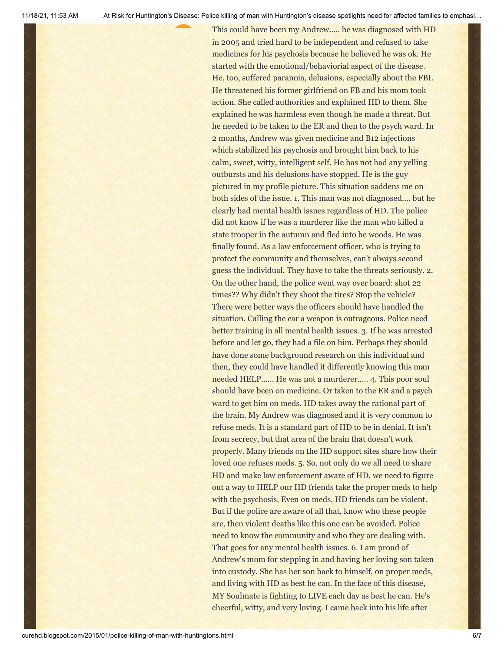This could have been my Andrew..... he was diagnosed with HD in 2005 and tried hard to be independent and refused to take medicines for his psychosis because he believed he was ok. He started with the emotional/behaviorial aspect of the disease. He, too, suffered paranoia, delusions, especially about the FBI. He threatened his former girlfriend on FB and his mom took action. She called authorities and explained HD to them. She explained he was harmless even though he made a threat. But he needed to be taken to the ER and then to the psych ward. In 2 months, Andrew was given medicine and B12 injections which stabilized his psychosis and brought him back to his calm, sweet, witty, intelligent self. He has not had any yelling outbursts and his delusions have stopped. He is the guy pictured in my profile picture. This situation saddens me on both sides of the issue. 1. This man was not diagnosed.... but he clearly had mental health issues regardless of HD. The police did not know if he was a murderer like the man who killed a state trooper in the autumn and fled into he woods. He was finally found. As a law enforcement officer, who is trying to protect the community and themselves, can't always second guess the individual. They have to take the threats seriously. 2. On the other hand, the police went way over board: shot 22 times?? Why didn't they shoot the tires? Stop the vehicle? There were better ways the officers should have handled the situation. Calling the car a weapon is outrageous. Police need better training in all mental health issues. 3. If he was arrested before and let go, they had a file on him. Perhaps they should have done some background research on this individual and then, they could have handled it differently knowing this man needed HELP...... He was not a murderer..... 4. This poor soul should have been on medicine. Or taken to the ER and a psych ward to get him on meds. HD takes away the rational part of the brain. My Andrew was diagnosed and it is very common to refuse meds. It is a standard part of HD to be in denial. It isn't from secrecy, but that area of the brain that doesn't work properly. Many friends on the HD support sites share how their loved one refuses meds. 5. So, not only do we all need to share HD and make law enforcement aware of HD, we need to figure out a way to HELP our HD friends take the proper meds to help with the psychosis. Even on meds, HD friends can be violent. But if the police are aware of all that, know who these people are, then violent deaths like this one can be avoided. Police need to know the community and who they are dealing with. That goes for any mental health issues. 6. I am proud of Andrew's mom for stepping in and having her loving son taken into custody. She has her son back to himself, on proper meds, and living with HD as best he can. In the face of this disease, MY Soulmate is fighting to LIVE each day as best he can. He's cheerful, witty, and very loving. I came back into his life after